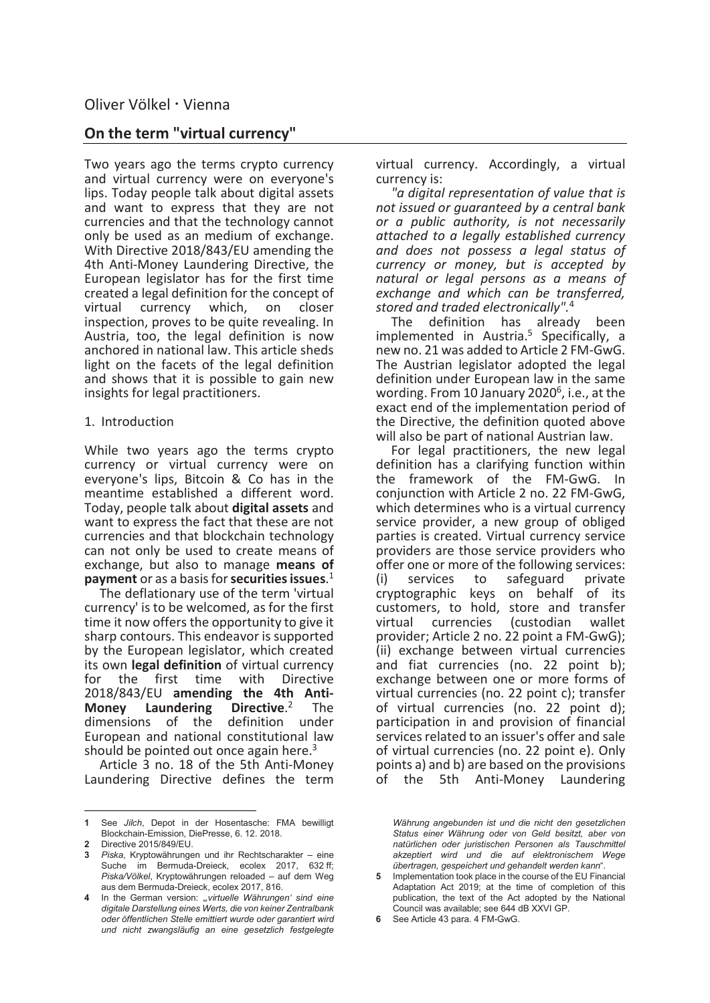# On the term "virtual currency"

Two years ago the terms crypto currency and virtual currency were on everyone's lips. Today people talk about digital assets and want to express that they are not currencies and that the technology cannot only be used as an medium of exchange. With Directive 2018/843/EU amending the 4th Anti-Money Laundering Directive, the European legislator has for the first time created a legal definition for the concept of<br>virtual currency which. on closer currency which, on closer inspection, proves to be quite revealing. In Austria, too, the legal definition is now anchored in national law. This article sheds light on the facets of the legal definition and shows that it is possible to gain new insights for legal practitioners.

# 1. Introduction

While two years ago the terms crypto currency or virtual currency were on everyone's lips, Bitcoin & Co has in the meantime established a different word. Today, people talk about digital assets and want to express the fact that these are not currencies and that blockchain technology can not only be used to create means of exchange, but also to manage means of payment or as a basis for securities issues.<sup>1</sup>

The deflationary use of the term 'virtual currency' is to be welcomed, as for the first time it now offers the opportunity to give it sharp contours. This endeavor is supported by the European legislator, which created its own legal definition of virtual currency for the first time with Directive 2018/843/EU amending the 4th Anti-**Money Laundering**<br>dimensions of the Directive.<sup>2</sup> The dimensions of the definition under European and national constitutional law should be pointed out once again here. $3$ 

Article 3 no. 18 of the 5th Anti-Money Laundering Directive defines the term

 $\overline{a}$ 

virtual currency. Accordingly, a virtual currency is:

"a digital representation of value that is not issued or guaranteed by a central bank or a public authority, is not necessarily attached to a legally established currency and does not possess a legal status of currency or money, but is accepted by natural or legal persons as a means of exchange and which can be transferred, stored and traded electronically".<sup>4</sup>

The definition has already been implemented in Austria.<sup>5</sup> Specifically, a new no. 21 was added to Article 2 FM-GwG. The Austrian legislator adopted the legal definition under European law in the same wording. From 10 January 2020<sup>6</sup>, i.e., at the exact end of the implementation period of the Directive, the definition quoted above will also be part of national Austrian law.

For legal practitioners, the new legal definition has a clarifying function within the framework of the FM-GwG. In conjunction with Article 2 no. 22 FM-GwG, which determines who is a virtual currency service provider, a new group of obliged parties is created. Virtual currency service providers are those service providers who offer one or more of the following services: (i) services to safeguard private cryptographic keys on behalf of its customers, to hold, store and transfer virtual currencies (custodian wallet provider; Article 2 no. 22 point a FM-GwG); (ii) exchange between virtual currencies and fiat currencies (no. 22 point b); exchange between one or more forms of virtual currencies (no. 22 point c); transfer of virtual currencies (no. 22 point d); participation in and provision of financial services related to an issuer's offer and sale of virtual currencies (no. 22 point e). Only points a) and b) are based on the provisions of the 5th Anti-Money Laundering

Währung angebunden ist und die nicht den gesetzlichen Status einer Währung oder von Geld besitzt, aber von natürlichen oder juristischen Personen als Tauschmittel akzeptiert wird und die auf elektronischem Wege übertragen, gespeichert und gehandelt werden kann".

<sup>1</sup> See Jilch, Depot in der Hosentasche: FMA bewilligt Blockchain-Emission, DiePresse, 6. 12. 2018.

<sup>2</sup> Directive 2015/849/EU.

<sup>3</sup> Piska, Kryptowährungen und ihr Rechtscharakter – eine Suche im Bermuda-Dreieck, ecolex 2017, 632 ff; Piska/Völkel, Kryptowährungen reloaded – auf dem Weg aus dem Bermuda-Dreieck, ecolex 2017, 816.

In the German version: "virtuelle Währungen' sind eine digitale Darstellung eines Werts, die von keiner Zentralbank oder öffentlichen Stelle emittiert wurde oder garantiert wird und nicht zwangsläufig an eine gesetzlich festgelegte

Implementation took place in the course of the EU Financial Adaptation Act 2019; at the time of completion of this publication, the text of the Act adopted by the National Council was available; see 644 dB XXVI GP.

<sup>6</sup> See Article 43 para. 4 FM-GwG.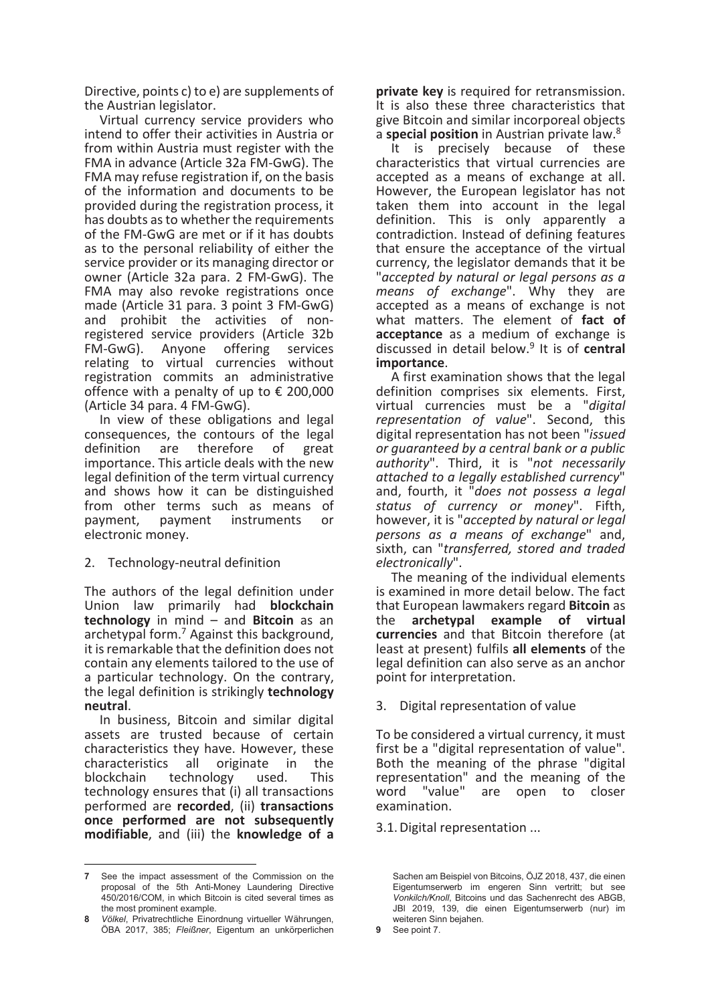Directive, points c) to e) are supplements of the Austrian legislator.

Virtual currency service providers who intend to offer their activities in Austria or from within Austria must register with the FMA in advance (Article 32a FM-GwG). The FMA may refuse registration if, on the basis of the information and documents to be provided during the registration process, it has doubts as to whether the requirements of the FM-GwG are met or if it has doubts as to the personal reliability of either the service provider or its managing director or owner (Article 32a para. 2 FM-GwG). The FMA may also revoke registrations once made (Article 31 para. 3 point 3 FM-GwG) and prohibit the activities of nonregistered service providers (Article 32b FM-GwG). Anyone offering services relating to virtual currencies without registration commits an administrative offence with a penalty of up to  $\epsilon$  200,000 (Article 34 para. 4 FM-GwG).

In view of these obligations and legal consequences, the contours of the legal<br>definition are therefore of great definition are therefore of importance. This article deals with the new legal definition of the term virtual currency and shows how it can be distinguished from other terms such as means of<br>payment, payment instruments or payment, payment instruments or electronic money.

2. Technology-neutral definition

The authors of the legal definition under Union law primarily had blockchain technology in mind – and Bitcoin as an archetypal form.<sup>7</sup> Against this background, it is remarkable that the definition does not contain any elements tailored to the use of a particular technology. On the contrary, the legal definition is strikingly technology neutral.

In business, Bitcoin and similar digital assets are trusted because of certain characteristics they have. However, these<br>characteristics all originate in the characteristics all originate in the blockchain technology used. This technology ensures that (i) all transactions performed are recorded, (ii) transactions once performed are not subsequently modifiable, and (iii) the knowledge of a

 $\overline{a}$ 

private key is required for retransmission. It is also these three characteristics that give Bitcoin and similar incorporeal objects a special position in Austrian private law. $8<sup>8</sup>$ 

It is precisely because of these characteristics that virtual currencies are accepted as a means of exchange at all. However, the European legislator has not taken them into account in the legal definition. This is only apparently a contradiction. Instead of defining features that ensure the acceptance of the virtual currency, the legislator demands that it be "accepted by natural or legal persons as a means of exchange". Why they are accepted as a means of exchange is not what matters. The element of fact of acceptance as a medium of exchange is discussed in detail below.<sup>9</sup> It is of central importance.

A first examination shows that the legal definition comprises six elements. First, virtual currencies must be a "digital representation of value". Second, this digital representation has not been "issued or guaranteed by a central bank or a public authority". Third, it is "not necessarily attached to a legally established currency" and, fourth, it "does not possess a legal status of currency or money". Fifth, however, it is "accepted by natural or legal persons as a means of exchange" and, sixth, can "transferred, stored and traded electronically".

The meaning of the individual elements is examined in more detail below. The fact that European lawmakers regard **Bitcoin** as<br>the **archetypal example of virtual** archetypal example of virtual currencies and that Bitcoin therefore (at least at present) fulfils all elements of the legal definition can also serve as an anchor point for interpretation.

3. Digital representation of value

To be considered a virtual currency, it must first be a "digital representation of value". Both the meaning of the phrase "digital representation" and the meaning of the word "value" are open to closer examination.

3.1. Digital representation ...

<sup>7</sup> See the impact assessment of the Commission on the proposal of the 5th Anti-Money Laundering Directive 450/2016/COM, in which Bitcoin is cited several times as the most prominent example.

Völkel, Privatrechtliche Einordnung virtueller Währungen, ÖBA 2017, 385; Fleißner, Eigentum an unkörperlichen

Sachen am Beispiel von Bitcoins, ÖJZ 2018, 437, die einen Eigentumserwerb im engeren Sinn vertritt; but see Vonkilch/Knoll, Bitcoins und das Sachenrecht des ABGB, JBl 2019, 139, die einen Eigentumserwerb (nur) im weiteren Sinn bejahen.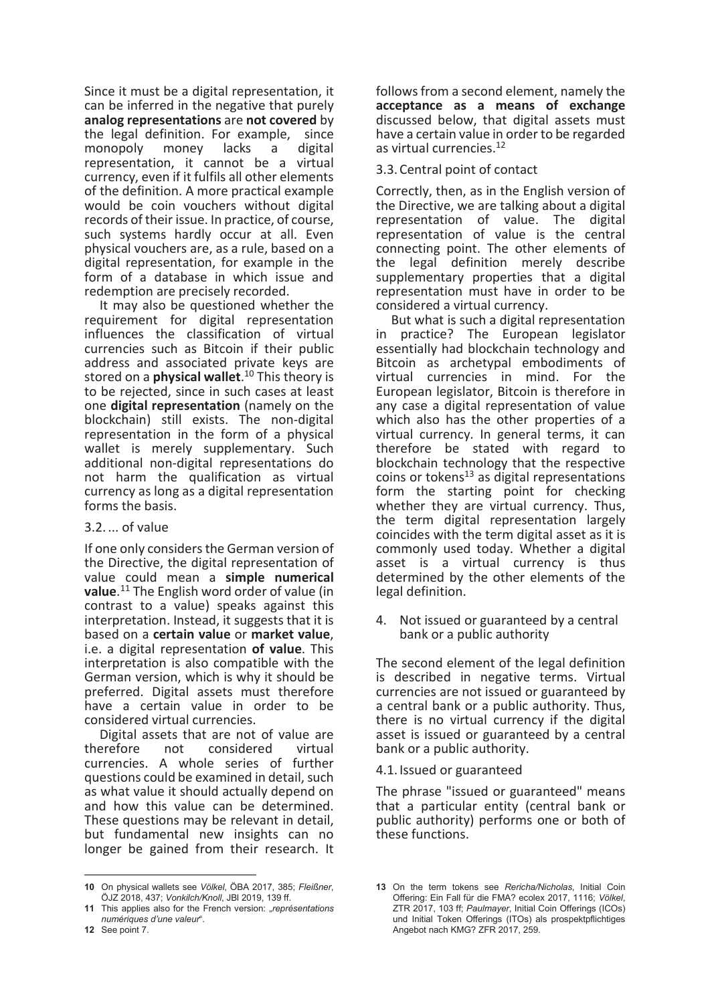Since it must be a digital representation, it can be inferred in the negative that purely analog representations are not covered by the legal definition. For example, since<br>monopoly money lacks a digital monopoly money lacks a digital representation, it cannot be a virtual currency, even if it fulfils all other elements of the definition. A more practical example would be coin vouchers without digital records of their issue. In practice, of course, such systems hardly occur at all. Even physical vouchers are, as a rule, based on a digital representation, for example in the form of a database in which issue and redemption are precisely recorded.

It may also be questioned whether the requirement for digital representation influences the classification of virtual currencies such as Bitcoin if their public address and associated private keys are stored on a **physical wallet**.<sup>10</sup> This theory is to be rejected, since in such cases at least one digital representation (namely on the blockchain) still exists. The non-digital representation in the form of a physical wallet is merely supplementary. Such additional non-digital representations do not harm the qualification as virtual currency as long as a digital representation forms the basis.

# 3.2. ... of value

If one only considers the German version of the Directive, the digital representation of value could mean a simple numerical value.<sup>11</sup> The English word order of value (in contrast to a value) speaks against this interpretation. Instead, it suggests that it is based on a certain value or market value, i.e. a digital representation of value. This interpretation is also compatible with the German version, which is why it should be preferred. Digital assets must therefore have a certain value in order to be considered virtual currencies.

Digital assets that are not of value are<br>therefore not considered virtual not considered virtual currencies. A whole series of further questions could be examined in detail, such as what value it should actually depend on and how this value can be determined. These questions may be relevant in detail, but fundamental new insights can no longer be gained from their research. It

12 See point 7.

 $\overline{a}$ 

follows from a second element, namely the acceptance as a means of exchange discussed below, that digital assets must have a certain value in order to be regarded as virtual currencies.<sup>12</sup>

# 3.3. Central point of contact

Correctly, then, as in the English version of the Directive, we are talking about a digital representation of value. The digital representation of value is the central connecting point. The other elements of the legal definition merely describe supplementary properties that a digital representation must have in order to be considered a virtual currency.

But what is such a digital representation in practice? The European legislator essentially had blockchain technology and Bitcoin as archetypal embodiments of virtual currencies in mind. For the European legislator, Bitcoin is therefore in any case a digital representation of value which also has the other properties of a virtual currency. In general terms, it can therefore be stated with regard to blockchain technology that the respective  $\frac{1}{3}$  coins or tokens<sup>13</sup> as digital representations form the starting point for checking whether they are virtual currency. Thus, the term digital representation largely coincides with the term digital asset as it is commonly used today. Whether a digital asset is a virtual currency is thus determined by the other elements of the legal definition.

4. Not issued or guaranteed by a central bank or a public authority

The second element of the legal definition is described in negative terms. Virtual currencies are not issued or guaranteed by a central bank or a public authority. Thus, there is no virtual currency if the digital asset is issued or guaranteed by a central bank or a public authority.

4.1. Issued or guaranteed

The phrase "issued or guaranteed" means that a particular entity (central bank or public authority) performs one or both of these functions.

<sup>10</sup> On physical wallets see Völkel, ÖBA 2017, 385; Fleißner, ÖJZ 2018, 437; Vonkilch/Knoll, JBl 2019, 139 ff.

<sup>11</sup> This applies also for the French version: "représentations numériques d'une valeur".

<sup>13</sup> On the term tokens see Rericha/Nicholas, Initial Coin Offering: Ein Fall für die FMA? ecolex 2017, 1116; Völkel, ZTR 2017, 103 ff; Paulmayer, Initial Coin Offerings (ICOs) und Initial Token Offerings (ITOs) als prospektpflichtiges Angebot nach KMG? ZFR 2017, 259.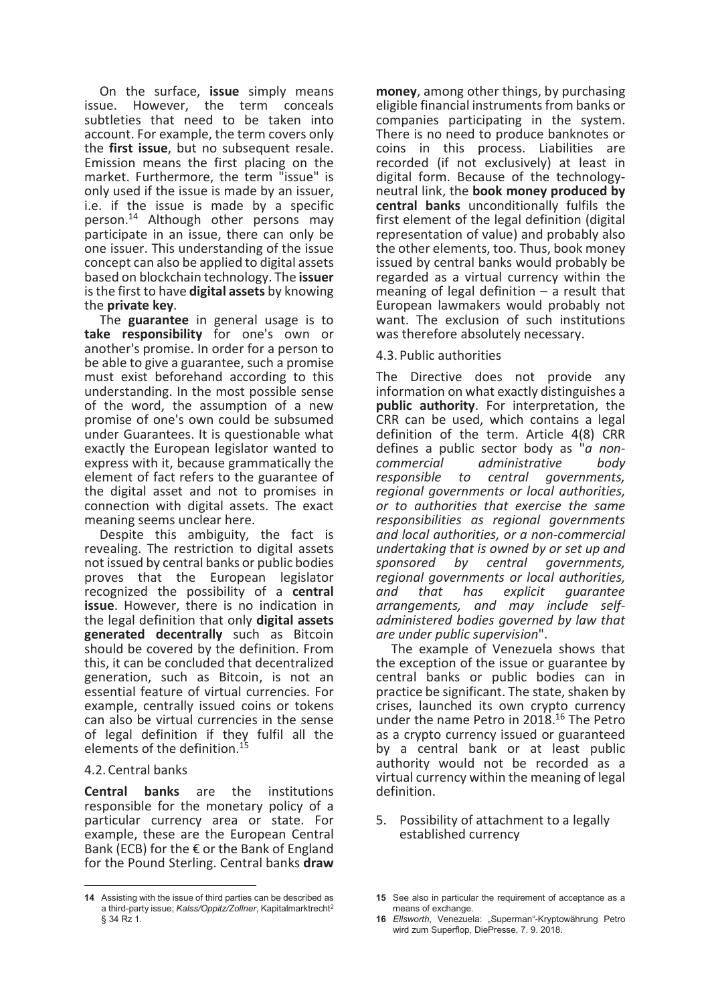On the surface, issue simply means issue. However, the term conceals subtleties that need to be taken into account. For example, the term covers only the first issue, but no subsequent resale. Emission means the first placing on the market. Furthermore, the term "issue" is only used if the issue is made by an issuer, i.e. if the issue is made by a specific person.<sup>14</sup> Although other persons may participate in an issue, there can only be one issuer. This understanding of the issue concept can also be applied to digital assets based on blockchain technology. The issuer is the first to have digital assets by knowing the private key.

The guarantee in general usage is to take responsibility for one's own or another's promise. In order for a person to be able to give a guarantee, such a promise must exist beforehand according to this understanding. In the most possible sense of the word, the assumption of a new promise of one's own could be subsumed under Guarantees. It is questionable what exactly the European legislator wanted to express with it, because grammatically the element of fact refers to the guarantee of the digital asset and not to promises in connection with digital assets. The exact meaning seems unclear here.

Despite this ambiguity, the fact is revealing. The restriction to digital assets not issued by central banks or public bodies proves that the European legislator recognized the possibility of a central issue. However, there is no indication in the legal definition that only digital assets generated decentrally such as Bitcoin should be covered by the definition. From this, it can be concluded that decentralized generation, such as Bitcoin, is not an essential feature of virtual currencies. For example, centrally issued coins or tokens can also be virtual currencies in the sense of legal definition if they fulfil all the elements of the definition.<sup>1</sup>

#### 4.2. Central banks

 $\overline{a}$ 

Central banks are the institutions responsible for the monetary policy of a particular currency area or state. For example, these are the European Central Bank (ECB) for the  $\epsilon$  or the Bank of England for the Pound Sterling. Central banks draw

money, among other things, by purchasing eligible financial instruments from banks or companies participating in the system. There is no need to produce banknotes or coins in this process. Liabilities are recorded (if not exclusively) at least in digital form. Because of the technologyneutral link, the book money produced by central banks unconditionally fulfils the first element of the legal definition (digital representation of value) and probably also the other elements, too. Thus, book money issued by central banks would probably be regarded as a virtual currency within the meaning of legal definition – a result that European lawmakers would probably not want. The exclusion of such institutions was therefore absolutely necessary.

#### 4.3. Public authorities

The Directive does not provide any information on what exactly distinguishes a public authority. For interpretation, the CRR can be used, which contains a legal definition of the term. Article 4(8) CRR defines a public sector body as "*a non-*<br>commercial administrative body administrative responsible to central governments, regional governments or local authorities, or to authorities that exercise the same responsibilities as regional governments and local authorities, or a non-commercial undertaking that is owned by or set up and<br>sponsored by central governments. by central governments, regional governments or local authorities,<br>and that has explicit quarantee quarantee arrangements, and may include selfadministered bodies governed by law that are under public supervision".

The example of Venezuela shows that the exception of the issue or guarantee by central banks or public bodies can in practice be significant. The state, shaken by crises, launched its own crypto currency under the name Petro in 2018.<sup>16</sup> The Petro as a crypto currency issued or guaranteed by a central bank or at least public authority would not be recorded as a virtual currency within the meaning of legal definition.

#### 5. Possibility of attachment to a legally established currency

<sup>14</sup> Assisting with the issue of third parties can be described as a third-party issue; Kalss/Oppitz/Zollner, Kapitalmarktrecht<sup>2</sup> § 34 Rz 1.

<sup>15</sup> See also in particular the requirement of acceptance as a means of exchange.

<sup>16</sup> Ellsworth, Venezuela: "Superman"-Kryptowährung Petro wird zum Superflop, DiePresse, 7. 9. 2018.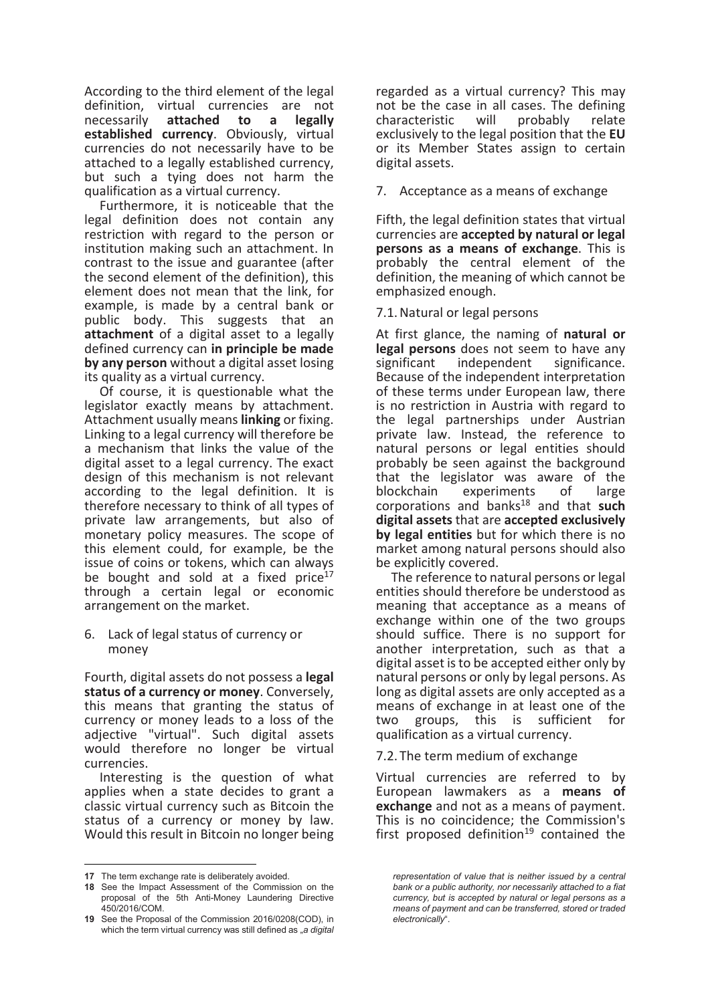According to the third element of the legal definition, virtual currencies are not necessarily attached to a legally established currency. Obviously, virtual currencies do not necessarily have to be attached to a legally established currency, but such a tying does not harm the qualification as a virtual currency.

Furthermore, it is noticeable that the legal definition does not contain any restriction with regard to the person or institution making such an attachment. In contrast to the issue and guarantee (after the second element of the definition), this element does not mean that the link, for example, is made by a central bank or public body. This suggests that an attachment of a digital asset to a legally defined currency can in principle be made by any person without a digital asset losing its quality as a virtual currency.

Of course, it is questionable what the legislator exactly means by attachment. Attachment usually means **linking** or fixing. Linking to a legal currency will therefore be a mechanism that links the value of the digital asset to a legal currency. The exact design of this mechanism is not relevant according to the legal definition. It is therefore necessary to think of all types of private law arrangements, but also of monetary policy measures. The scope of this element could, for example, be the issue of coins or tokens, which can always be bought and sold at a fixed price<sup>17</sup> through a certain legal or economic arrangement on the market.

6. Lack of legal status of currency or money

Fourth, digital assets do not possess a legal status of a currency or money. Conversely, this means that granting the status of currency or money leads to a loss of the adjective "virtual". Such digital assets would therefore no longer be virtual currencies.

Interesting is the question of what applies when a state decides to grant a classic virtual currency such as Bitcoin the status of a currency or money by law. Would this result in Bitcoin no longer being

 $\overline{a}$ 

regarded as a virtual currency? This may not be the case in all cases. The defining characteristic will probably relate exclusively to the legal position that the EU or its Member States assign to certain digital assets.

7. Acceptance as a means of exchange

Fifth, the legal definition states that virtual currencies are accepted by natural or legal persons as a means of exchange. This is probably the central element of the definition, the meaning of which cannot be emphasized enough.

7.1. Natural or legal persons

At first glance, the naming of natural or legal persons does not seem to have any significant independent significance. Because of the independent interpretation of these terms under European law, there is no restriction in Austria with regard to the legal partnerships under Austrian private law. Instead, the reference to natural persons or legal entities should probably be seen against the background that the legislator was aware of the blockchain experiments of large  $corportions$  and banks<sup>18</sup> and that such digital assets that are accepted exclusively by legal entities but for which there is no market among natural persons should also be explicitly covered.

The reference to natural persons or legal entities should therefore be understood as meaning that acceptance as a means of exchange within one of the two groups should suffice. There is no support for another interpretation, such as that a digital asset is to be accepted either only by natural persons or only by legal persons. As long as digital assets are only accepted as a means of exchange in at least one of the two groups, this is sufficient for qualification as a virtual currency.

7.2. The term medium of exchange

Virtual currencies are referred to by European lawmakers as a means of exchange and not as a means of payment. This is no coincidence; the Commission's first proposed definition<sup>19</sup> contained the

<sup>17</sup> The term exchange rate is deliberately avoided.

<sup>18</sup> See the Impact Assessment of the Commission on the proposal of the 5th Anti-Money Laundering Directive 450/2016/COM.

<sup>19</sup> See the Proposal of the Commission 2016/0208(COD), in which the term virtual currency was still defined as  $\alpha$  digital

representation of value that is neither issued by a central bank or a public authority, nor necessarily attached to a fiat currency, but is accepted by natural or legal persons as a means of payment and can be transferred, stored or traded electronically".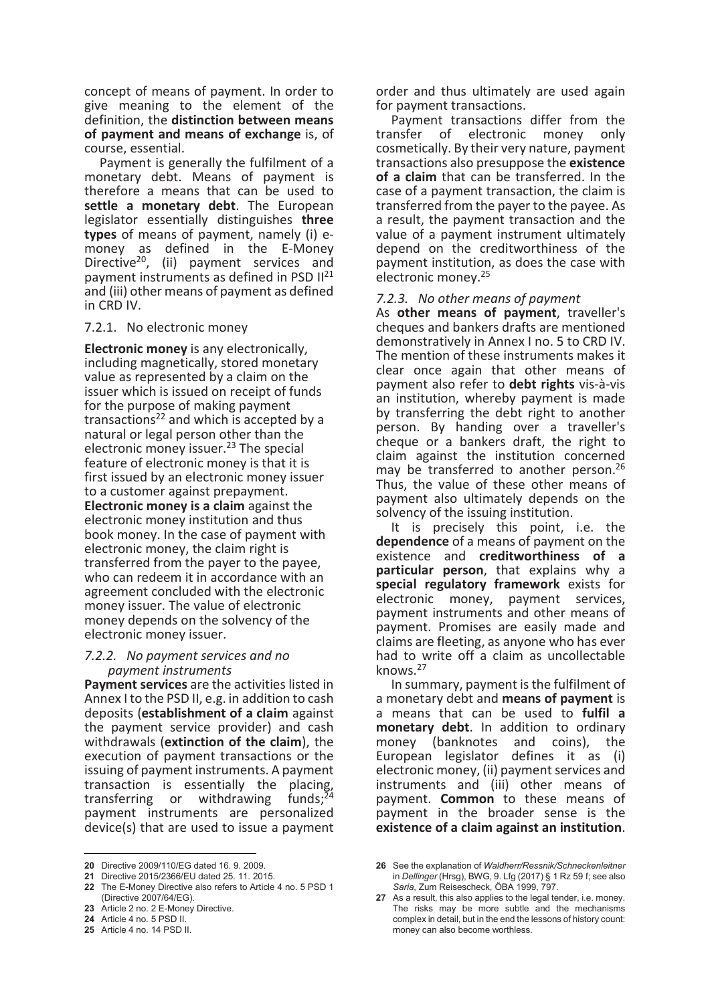concept of means of payment. In order to give meaning to the element of the definition, the distinction between means of payment and means of exchange is, of course, essential.

Payment is generally the fulfilment of a monetary debt. Means of payment is therefore a means that can be used to settle a monetary debt. The European legislator essentially distinguishes three types of means of payment, namely (i) emoney as defined in the E-Money Directive<sup>20</sup>, (ii) payment services and payment instruments as defined in PSD  $II^{21}$ and (iii) other means of payment as defined in CRD IV.

#### 7.2.1. No electronic money

Electronic money is any electronically, including magnetically, stored monetary value as represented by a claim on the issuer which is issued on receipt of funds for the purpose of making payment transactions<sup>22</sup> and which is accepted by a natural or legal person other than the electronic money issuer.<sup>23</sup> The special feature of electronic money is that it is first issued by an electronic money issuer to a customer against prepayment. Electronic money is a claim against the electronic money institution and thus book money. In the case of payment with electronic money, the claim right is transferred from the payer to the payee, who can redeem it in accordance with an agreement concluded with the electronic money issuer. The value of electronic money depends on the solvency of the electronic money issuer.

#### 7.2.2. No payment services and no payment instruments

Payment services are the activities listed in Annex I to the PSD II, e.g. in addition to cash deposits (establishment of a claim against the payment service provider) and cash withdrawals (extinction of the claim), the execution of payment transactions or the issuing of payment instruments. A payment transaction is essentially the placing, transferring or withdrawing funds; payment instruments are personalized device(s) that are used to issue a payment

 $\overline{a}$ 

order and thus ultimately are used again for payment transactions.

Payment transactions differ from the transfer of electronic money only cosmetically. By their very nature, payment transactions also presuppose the existence of a claim that can be transferred. In the case of a payment transaction, the claim is transferred from the payer to the payee. As a result, the payment transaction and the value of a payment instrument ultimately depend on the creditworthiness of the payment institution, as does the case with electronic money.<sup>25</sup>

#### 7.2.3. No other means of payment

As other means of payment, traveller's cheques and bankers drafts are mentioned demonstratively in Annex I no. 5 to CRD IV. The mention of these instruments makes it clear once again that other means of payment also refer to debt rights vis-à-vis an institution, whereby payment is made by transferring the debt right to another person. By handing over a traveller's cheque or a bankers draft, the right to claim against the institution concerned may be transferred to another person.<sup>26</sup> Thus, the value of these other means of payment also ultimately depends on the solvency of the issuing institution.

It is precisely this point, i.e. the dependence of a means of payment on the existence and creditworthiness of a particular person, that explains why a special regulatory framework exists for electronic money, payment services, payment instruments and other means of payment. Promises are easily made and claims are fleeting, as anyone who has ever had to write off a claim as uncollectable knows.<sup>27</sup>

In summary, payment is the fulfilment of a monetary debt and means of payment is a means that can be used to fulfil a monetary debt. In addition to ordinary money (banknotes and coins), the European legislator defines it as (i) electronic money, (ii) payment services and instruments and (iii) other means of payment. Common to these means of payment in the broader sense is the existence of a claim against an institution.

<sup>20</sup> Directive 2009/110/EG dated 16. 9. 2009.

<sup>21</sup> Directive 2015/2366/EU dated 25. 11. 2015.

<sup>22</sup> The E-Money Directive also refers to Article 4 no. 5 PSD 1 (Directive 2007/64/EG).

<sup>23</sup> Article 2 no. 2 E-Money Directive.

<sup>24</sup> Article 4 no. 5 PSD II.

<sup>25</sup> Article 4 no. 14 PSD II.

<sup>26</sup> See the explanation of Waldherr/Ressnik/Schneckenleitner in Dellinger (Hrsg), BWG, 9. Lfg (2017) § 1 Rz 59 f; see also Saria, Zum Reisescheck, ÖBA 1999, 797.

<sup>27</sup> As a result, this also applies to the legal tender, i.e. money. The risks may be more subtle and the mechanisms complex in detail, but in the end the lessons of history count: money can also become worthless.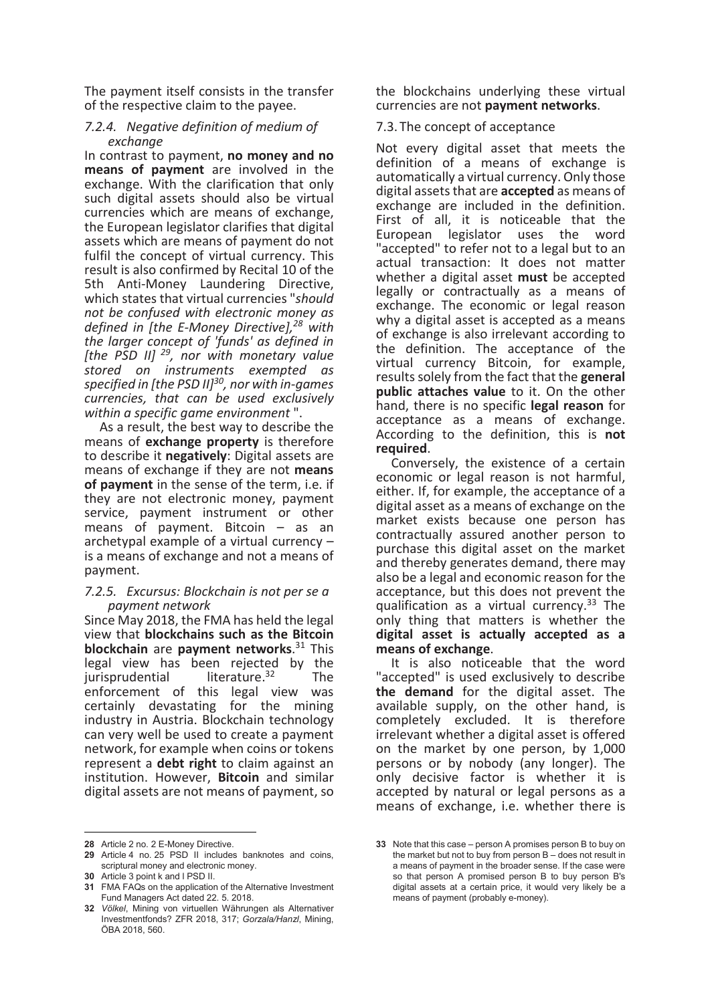The payment itself consists in the transfer of the respective claim to the payee.

# 7.2.4. Negative definition of medium of exchange

In contrast to payment, no money and no means of payment are involved in the exchange. With the clarification that only such digital assets should also be virtual currencies which are means of exchange, the European legislator clarifies that digital assets which are means of payment do not fulfil the concept of virtual currency. This result is also confirmed by Recital 10 of the 5th Anti-Money Laundering Directive, which states that virtual currencies "should not be confused with electronic money as defined in [the E-Money Directive],<sup>28</sup> with the larger concept of 'funds' as defined in [the PSD II]  $^{29}$ , nor with monetary value stored on instruments exempted as specified in [the PSD  $II]^{30}$ , nor with in-games currencies, that can be used exclusively within a specific game environment".

As a result, the best way to describe the means of **exchange property** is therefore to describe it negatively: Digital assets are means of exchange if they are not means of payment in the sense of the term, i.e. if they are not electronic money, payment service, payment instrument or other means of payment. Bitcoin – as an archetypal example of a virtual currency – is a means of exchange and not a means of payment.

#### 7.2.5. Excursus: Blockchain is not per se a payment network

Since May 2018, the FMA has held the legal view that blockchains such as the Bitcoin blockchain are payment networks.<sup>31</sup> This legal view has been rejected by the  $i$ urisprudential  $i$  literature  $i$ <sup>32</sup> The jurisprudential literature. $32$ enforcement of this legal view was certainly devastating for the mining industry in Austria. Blockchain technology can very well be used to create a payment network, for example when coins or tokens represent a **debt right** to claim against an institution. However, Bitcoin and similar digital assets are not means of payment, so

28 Article 2 no. 2 E-Money Directive.

 $\overline{a}$ 

the blockchains underlying these virtual currencies are not payment networks.

7.3. The concept of acceptance

Not every digital asset that meets the definition of a means of exchange is automatically a virtual currency. Only those digital assets that are **accepted** as means of exchange are included in the definition. First of all, it is noticeable that the European legislator uses the word "accepted" to refer not to a legal but to an actual transaction: It does not matter whether a digital asset must be accepted legally or contractually as a means of exchange. The economic or legal reason why a digital asset is accepted as a means of exchange is also irrelevant according to the definition. The acceptance of the virtual currency Bitcoin, for example, results solely from the fact that the general public attaches value to it. On the other hand, there is no specific legal reason for acceptance as a means of exchange. According to the definition, this is not required.

Conversely, the existence of a certain economic or legal reason is not harmful, either. If, for example, the acceptance of a digital asset as a means of exchange on the market exists because one person has contractually assured another person to purchase this digital asset on the market and thereby generates demand, there may also be a legal and economic reason for the acceptance, but this does not prevent the qualification as a virtual currency. $33$  The only thing that matters is whether the digital asset is actually accepted as a means of exchange.

It is also noticeable that the word "accepted" is used exclusively to describe the demand for the digital asset. The available supply, on the other hand, is completely excluded. It is therefore irrelevant whether a digital asset is offered on the market by one person, by 1,000 persons or by nobody (any longer). The only decisive factor is whether it is accepted by natural or legal persons as a means of exchange, i.e. whether there is

<sup>29</sup> Article 4 no. 25 PSD II includes banknotes and coins, scriptural money and electronic money.

<sup>30</sup> Article 3 point k and l PSD II.

<sup>31</sup> FMA FAQs on the application of the Alternative Investment Fund Managers Act dated 22. 5. 2018.

<sup>32</sup> Völkel, Mining von virtuellen Währungen als Alternativer Investmentfonds? ZFR 2018, 317; Gorzala/Hanzl, Mining, ÖBA 2018, 560.

<sup>33</sup> Note that this case – person A promises person B to buy on the market but not to buy from person B – does not result in a means of payment in the broader sense. If the case were so that person A promised person B to buy person B's digital assets at a certain price, it would very likely be a means of payment (probably e-money).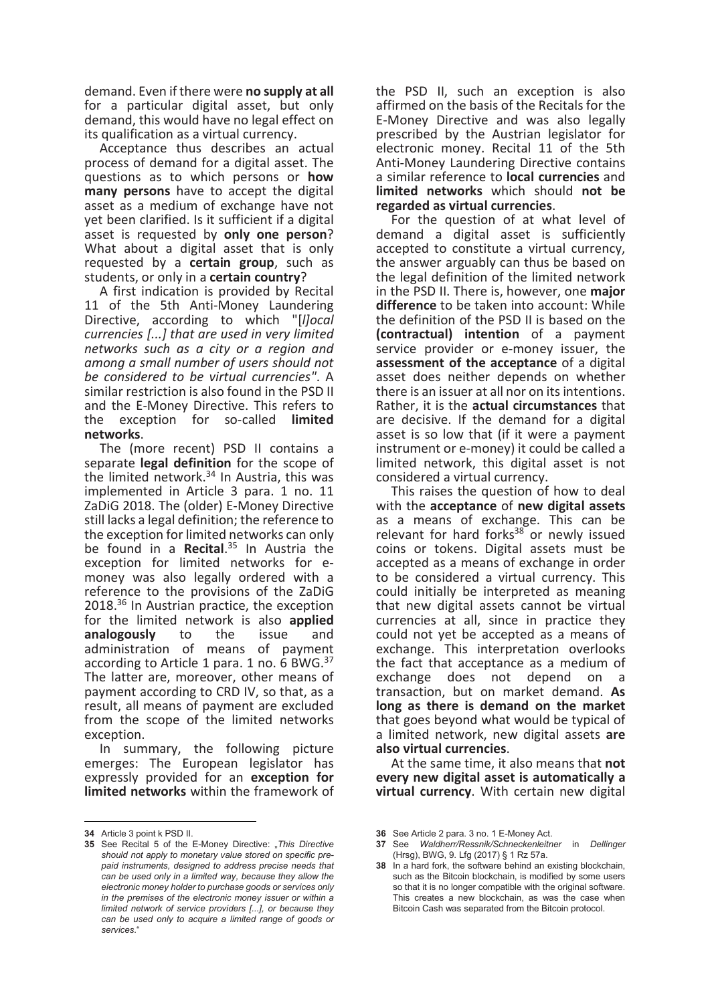demand. Even if there were no supply at all for a particular digital asset, but only demand, this would have no legal effect on its qualification as a virtual currency.

Acceptance thus describes an actual process of demand for a digital asset. The questions as to which persons or how many persons have to accept the digital asset as a medium of exchange have not yet been clarified. Is it sufficient if a digital asset is requested by only one person? What about a digital asset that is only requested by a **certain group**, such as students, or only in a certain country?

A first indication is provided by Recital 11 of the 5th Anti-Money Laundering Directive, according to which "[*llocal*] currencies [...] that are used in very limited networks such as a city or a region and among a small number of users should not be considered to be virtual currencies". A similar restriction is also found in the PSD II and the E-Money Directive. This refers to the exception for so-called limited networks.

The (more recent) PSD II contains a separate legal definition for the scope of the limited network.<sup>34</sup> In Austria, this was implemented in Article 3 para. 1 no. 11 ZaDiG 2018. The (older) E-Money Directive still lacks a legal definition; the reference to the exception for limited networks can only be found in a Recital.<sup>35</sup> In Austria the exception for limited networks for emoney was also legally ordered with a reference to the provisions of the ZaDiG 2018.<sup>36</sup> In Austrian practice, the exception for the limited network is also **applied**<br> **analogously** to the issue and analogously to the issue and administration of means of payment according to Article 1 para. 1 no. 6 BWG.<sup>37</sup> The latter are, moreover, other means of payment according to CRD IV, so that, as a result, all means of payment are excluded from the scope of the limited networks exception.

In summary, the following picture emerges: The European legislator has expressly provided for an exception for limited networks within the framework of

 $\overline{a}$ 

the PSD II, such an exception is also affirmed on the basis of the Recitals for the E-Money Directive and was also legally prescribed by the Austrian legislator for electronic money. Recital 11 of the 5th Anti-Money Laundering Directive contains a similar reference to **local currencies** and limited networks which should not be regarded as virtual currencies.

For the question of at what level of demand a digital asset is sufficiently accepted to constitute a virtual currency, the answer arguably can thus be based on the legal definition of the limited network in the PSD II. There is, however, one major difference to be taken into account: While the definition of the PSD II is based on the (contractual) intention of a payment service provider or e-money issuer, the assessment of the acceptance of a digital asset does neither depends on whether there is an issuer at all nor on its intentions. Rather, it is the actual circumstances that are decisive. If the demand for a digital asset is so low that (if it were a payment instrument or e-money) it could be called a limited network, this digital asset is not considered a virtual currency.

This raises the question of how to deal with the acceptance of new digital assets as a means of exchange. This can be relevant for hard forks<sup>38</sup> or newly issued coins or tokens. Digital assets must be accepted as a means of exchange in order to be considered a virtual currency. This could initially be interpreted as meaning that new digital assets cannot be virtual currencies at all, since in practice they could not yet be accepted as a means of exchange. This interpretation overlooks the fact that acceptance as a medium of exchange does not depend on a transaction, but on market demand. As long as there is demand on the market that goes beyond what would be typical of a limited network, new digital assets are also virtual currencies.

At the same time, it also means that not every new digital asset is automatically a virtual currency. With certain new digital

<sup>34</sup> Article 3 point k PSD II.

<sup>35</sup> See Recital 5 of the E-Money Directive: "This Directive should not apply to monetary value stored on specific prepaid instruments, designed to address precise needs that can be used only in a limited way, because they allow the electronic money holder to purchase goods or services only in the premises of the electronic money issuer or within a limited network of service providers [...], or because they can be used only to acquire a limited range of goods or services."

<sup>36</sup> See Article 2 para. 3 no. 1 E-Money Act.

<sup>37</sup> See Waldherr/Ressnik/Schneckenleitner in Dellinger (Hrsg), BWG, 9. Lfg (2017) § 1 Rz 57a.

<sup>38</sup> In a hard fork, the software behind an existing blockchain, such as the Bitcoin blockchain, is modified by some users so that it is no longer compatible with the original software. This creates a new blockchain, as was the case when Bitcoin Cash was separated from the Bitcoin protocol.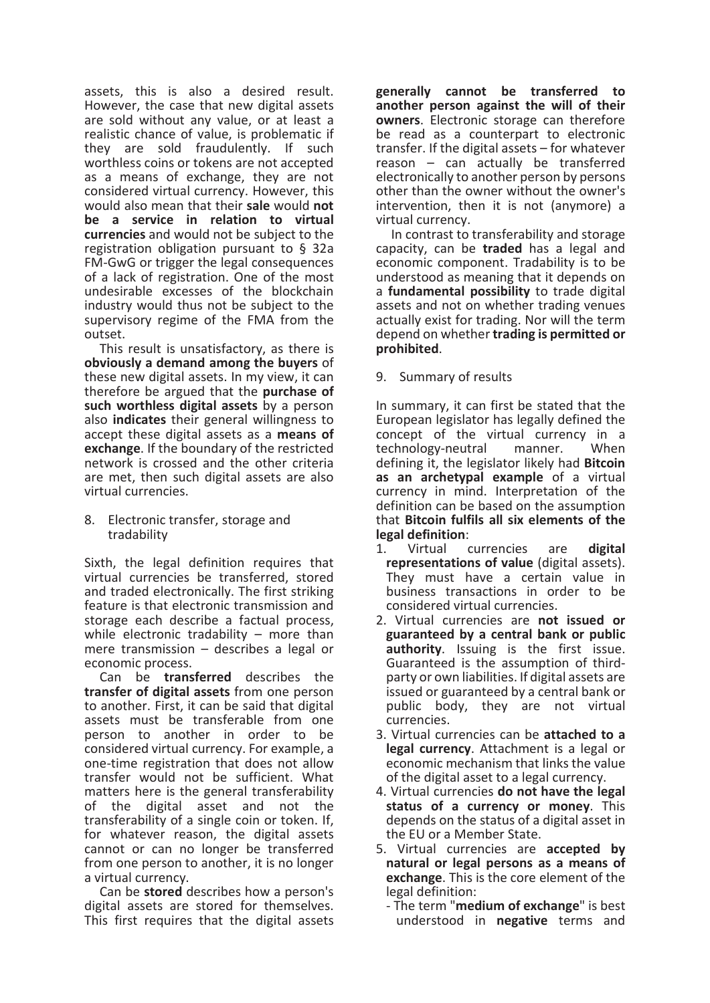assets, this is also a desired result. However, the case that new digital assets are sold without any value, or at least a realistic chance of value, is problematic if they are sold fraudulently. If such worthless coins or tokens are not accepted as a means of exchange, they are not considered virtual currency. However, this would also mean that their sale would not be a service in relation to virtual currencies and would not be subject to the registration obligation pursuant to § 32a FM-GwG or trigger the legal consequences of a lack of registration. One of the most undesirable excesses of the blockchain industry would thus not be subject to the supervisory regime of the FMA from the outset.

This result is unsatisfactory, as there is obviously a demand among the buyers of these new digital assets. In my view, it can therefore be argued that the purchase of such worthless digital assets by a person also indicates their general willingness to accept these digital assets as a means of exchange. If the boundary of the restricted network is crossed and the other criteria are met, then such digital assets are also virtual currencies.

8. Electronic transfer, storage and tradability

Sixth, the legal definition requires that virtual currencies be transferred, stored and traded electronically. The first striking feature is that electronic transmission and storage each describe a factual process, while electronic tradability – more than mere transmission – describes a legal or economic process.

Can be transferred describes the transfer of digital assets from one person to another. First, it can be said that digital assets must be transferable from one person to another in order to be considered virtual currency. For example, a one-time registration that does not allow transfer would not be sufficient. What matters here is the general transferability of the digital asset and not the transferability of a single coin or token. If, for whatever reason, the digital assets cannot or can no longer be transferred from one person to another, it is no longer a virtual currency.

Can be stored describes how a person's digital assets are stored for themselves. This first requires that the digital assets

generally cannot be transferred to another person against the will of their owners. Electronic storage can therefore be read as a counterpart to electronic transfer. If the digital assets – for whatever reason – can actually be transferred electronically to another person by persons other than the owner without the owner's intervention, then it is not (anymore) a virtual currency.

In contrast to transferability and storage capacity, can be traded has a legal and economic component. Tradability is to be understood as meaning that it depends on a fundamental possibility to trade digital assets and not on whether trading venues actually exist for trading. Nor will the term depend on whether trading is permitted or prohibited.

9. Summary of results

In summary, it can first be stated that the European legislator has legally defined the concept of the virtual currency in a technology-neutral manner. When defining it, the legislator likely had **Bitcoin** as an archetypal example of a virtual currency in mind. Interpretation of the definition can be based on the assumption that Bitcoin fulfils all six elements of the legal definition:

- 1. Virtual currencies are digital representations of value (digital assets). They must have a certain value in business transactions in order to be considered virtual currencies.
- 2. Virtual currencies are not issued or guaranteed by a central bank or public authority. Issuing is the first issue. Guaranteed is the assumption of thirdparty or own liabilities. If digital assets are issued or guaranteed by a central bank or public body, they are not virtual currencies.
- 3. Virtual currencies can be attached to a legal currency. Attachment is a legal or economic mechanism that links the value of the digital asset to a legal currency.
- 4. Virtual currencies do not have the legal status of a currency or money. This depends on the status of a digital asset in the EU or a Member State.
- 5. Virtual currencies are accepted by natural or legal persons as a means of exchange. This is the core element of the legal definition:
	- The term "medium of exchange" is best understood in negative terms and